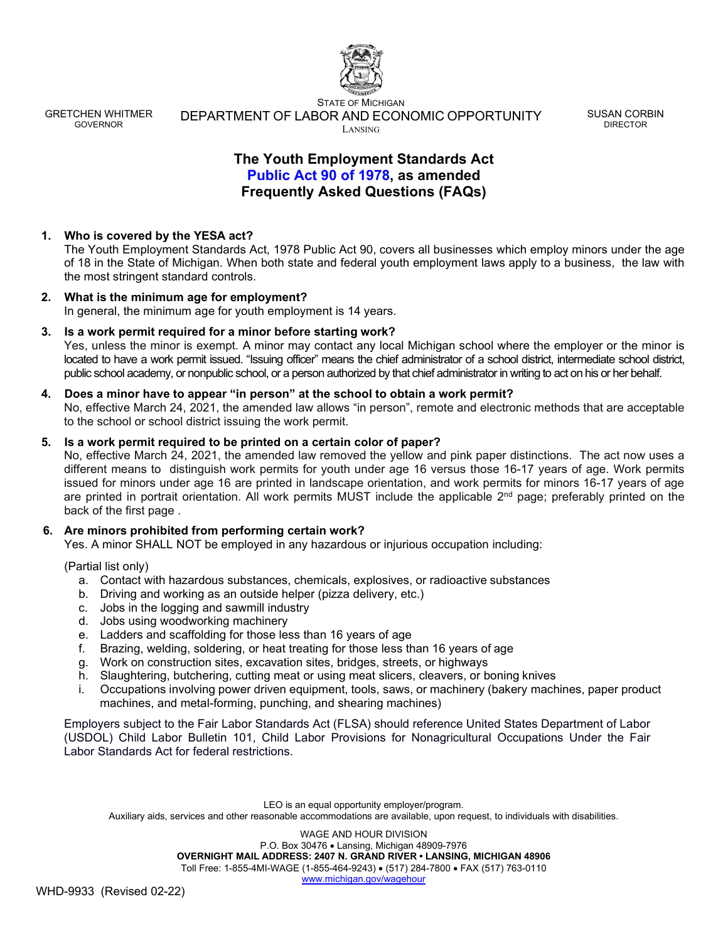

STATE OF MICHIGAN DEPARTMENT OF LABOR AND ECONOMIC OPPORTUNITY LANSING

SUSAN CORBIN DIRECTOR

# **The Youth Employment Standards Act Public Act 90 of 1978, as amended Frequently Asked Questions (FAQs)**

# **1. Who is covered by the YESA act?**

The Youth Employment Standards Act, 1978 Public Act 90, covers all businesses which employ minors under the age of 18 in the State of Michigan. When both state and federal youth employment laws apply to a business, the law with the most stringent standard controls.

#### **2. What is the minimum age for employment?** In general, the minimum age for youth employment is 14 years.

**3. Is a work permit required for a minor before starting work?** Yes, unless the minor is exempt. A minor may contact any local Michigan school where the employer or the minor is located to have a work permit issued. "Issuing officer" means the chief administrator of a school district, intermediate school district, public school academy, or nonpublic school, or a person authorized by that chief administrator in writing to act on his or her behalf.

## **4. Does a minor have to appear "in person" at the school to obtain a work permit?**

No, effective March 24, 2021, the amended law allows "in person", remote and electronic methods that are acceptable to the school or school district issuing the work permit.

### **5. Is a work permit required to be printed on a certain color of paper?**

No, effective March 24, 2021, the amended law removed the yellow and pink paper distinctions. The act now uses a different means to distinguish work permits for youth under age 16 versus those 16-17 years of age. Work permits issued for minors under age 16 are printed in landscape orientation, and work permits for minors 16-17 years of age are printed in portrait orientation. All work permits MUST include the applicable 2<sup>nd</sup> page; preferably printed on the back of the first page .

## **6. Are minors prohibited from performing certain work?**

Yes. A minor SHALL NOT be employed in any hazardous or injurious occupation including:

(Partial list only)

- a. Contact with hazardous substances, chemicals, explosives, or radioactive substances
- b. Driving and working as an outside helper (pizza delivery, etc.)
- c. Jobs in the logging and sawmill industry
- d. Jobs using woodworking machinery
- e. Ladders and scaffolding for those less than 16 years of age
- f. Brazing, welding, soldering, or heat treating for those less than 16 years of age
- g. Work on construction sites, excavation sites, bridges, streets, or highways
- h. Slaughtering, butchering, cutting meat or using meat slicers, cleavers, or boning knives
- i. Occupations involving power driven equipment, tools, saws, or machinery (bakery machines, paper product machines, and metal-forming, punching, and shearing machines)

Employers subject to the Fair Labor Standards Act (FLSA) should reference United States Department of Labor (USDOL) Child Labor Bulletin 101, Child Labor Provisions for Nonagricultural Occupations Under the Fair Labor Standards Act for federal restrictions.

LEO is an equal opportunity employer/program. Auxiliary aids, services and other reasonable accommodations are available, upon request, to individuals with disabilities.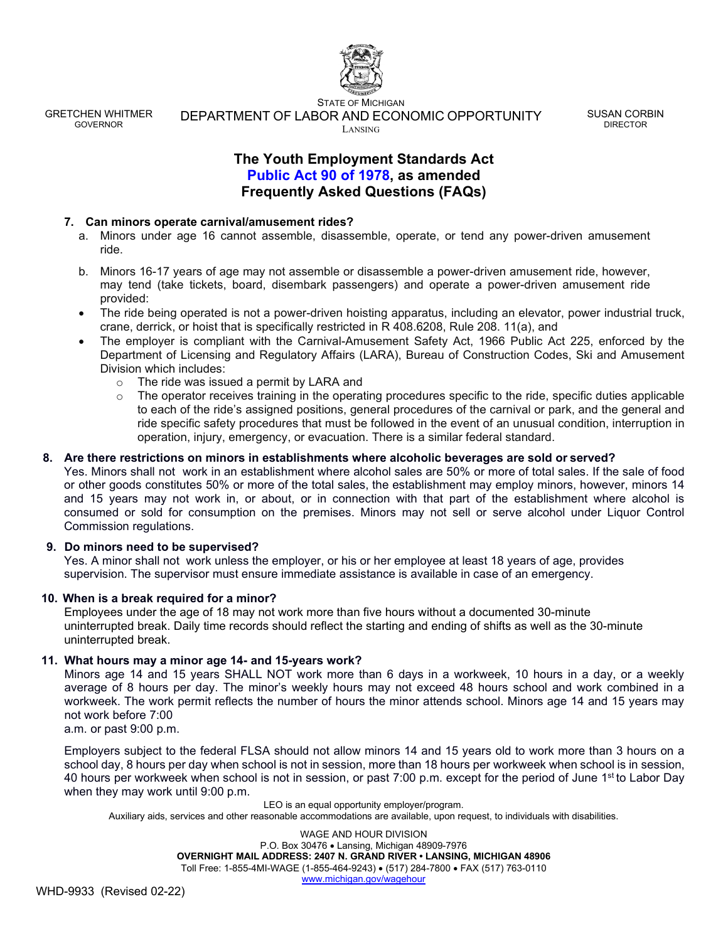

STATE OF MICHIGAN DEPARTMENT OF LABOR AND ECONOMIC OPPORTUNITY LANSING

SUSAN CORBIN DIRECTOR

# **The Youth Employment Standards Act Public Act 90 of 1978, as amended Frequently Asked Questions (FAQs)**

## **7. Can minors operate carnival/amusement rides?**

- a. Minors under age 16 cannot assemble, disassemble, operate, or tend any power-driven amusement ride.
- b. Minors 16-17 years of age may not assemble or disassemble a power-driven amusement ride, however, may tend (take tickets, board, disembark passengers) and operate a power-driven amusement ride provided:
- The ride being operated is not a power-driven hoisting apparatus, including an elevator, power industrial truck, crane, derrick, or hoist that is specifically restricted in R 408.6208, Rule 208. 11(a), and
- The employer is compliant with the Carnival-Amusement Safety Act, 1966 Public Act 225, enforced by the Department of Licensing and Regulatory Affairs (LARA), Bureau of Construction Codes, Ski and Amusement Division which includes:
	- o The ride was issued a permit by LARA and
	- o The operator receives training in the operating procedures specific to the ride, specific duties applicable to each of the ride's assigned positions, general procedures of the carnival or park, and the general and ride specific safety procedures that must be followed in the event of an unusual condition, interruption in operation, injury, emergency, or evacuation. There is a similar federal standard.

### **8. Are there restrictions on minors in establishments where alcoholic beverages are sold or served?**

Yes. Minors shall not work in an establishment where alcohol sales are 50% or more of total sales. If the sale of food or other goods constitutes 50% or more of the total sales, the establishment may employ minors, however, minors 14 and 15 years may not work in, or about, or in connection with that part of the establishment where alcohol is consumed or sold for consumption on the premises. Minors may not sell or serve alcohol under Liquor Control Commission regulations.

#### **9. Do minors need to be supervised?**

Yes. A minor shall not work unless the employer, or his or her employee at least 18 years of age, provides supervision. The supervisor must ensure immediate assistance is available in case of an emergency.

## **10. When is a break required for a minor?**

Employees under the age of 18 may not work more than five hours without a documented 30-minute uninterrupted break. Daily time records should reflect the starting and ending of shifts as well as the 30-minute uninterrupted break.

#### **11. What hours may a minor age 14- and 15-years work?**

Minors age 14 and 15 years SHALL NOT work more than 6 days in a workweek, 10 hours in a day, or a weekly average of 8 hours per day. The minor's weekly hours may not exceed 48 hours school and work combined in a workweek. The work permit reflects the number of hours the minor attends school. Minors age 14 and 15 years may not work before 7:00

a.m. or past 9:00 p.m.

Employers subject to the federal FLSA should not allow minors 14 and 15 years old to work more than 3 hours on a school day, 8 hours per day when school is not in session, more than 18 hours per workweek when school is in session, 40 hours per workweek when school is not in session, or past 7:00 p.m. except for the period of June 1<sup>st</sup> to Labor Day when they may work until 9:00 p.m.

LEO is an equal opportunity employer/program.

Auxiliary aids, services and other reasonable accommodations are available, upon request, to individuals with disabilities.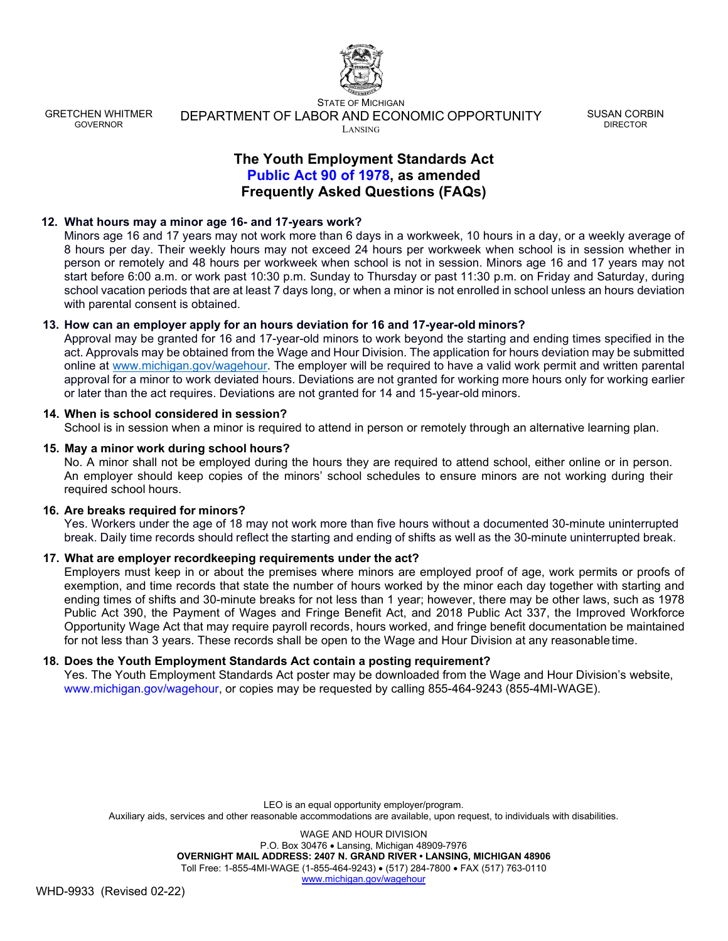

STATE OF MICHIGAN DEPARTMENT OF LABOR AND ECONOMIC OPPORTUNITY LANSING

SUSAN CORBIN DIRECTOR

# **The Youth Employment Standards Act Public Act 90 of 1978, as amended Frequently Asked Questions (FAQs)**

## **12. What hours may a minor age 16- and 17-years work?**

Minors age 16 and 17 years may not work more than 6 days in a workweek, 10 hours in a day, or a weekly average of 8 hours per day. Their weekly hours may not exceed 24 hours per workweek when school is in session whether in person or remotely and 48 hours per workweek when school is not in session. Minors age 16 and 17 years may not start before 6:00 a.m. or work past 10:30 p.m. Sunday to Thursday or past 11:30 p.m. on Friday and Saturday, during school vacation periods that are at least 7 days long, or when a minor is not enrolled in school unless an hours deviation with parental consent is obtained.

### **13. How can an employer apply for an hours deviation for 16 and 17-year-old minors?**

Approval may be granted for 16 and 17-year-old minors to work beyond the starting and ending times specified in the act. Approvals may be obtained from the Wage and Hour Division. The application for hours deviation may be submitted online at [www.michigan.gov/wagehour. T](http://www.michigan.gov/wagehour)he employer will be required to have a valid work permit and written parental approval for a minor to work deviated hours. Deviations are not granted for working more hours only for working earlier or later than the act requires. Deviations are not granted for 14 and 15-year-old minors.

#### **14. When is school considered in session?**

School is in session when a minor is required to attend in person or remotely through an alternative learning plan.

### **15. May a minor work during school hours?**

No. A minor shall not be employed during the hours they are required to attend school, either online or in person. An employer should keep copies of the minors' school schedules to ensure minors are not working during their required school hours.

#### **16. Are breaks required for minors?**

Yes. Workers under the age of 18 may not work more than five hours without a documented 30-minute uninterrupted break. Daily time records should reflect the starting and ending of shifts as well as the 30-minute uninterrupted break.

## **17. What are employer recordkeeping requirements under the act?**

Employers must keep in or about the premises where minors are employed proof of age, work permits or proofs of exemption, and time records that state the number of hours worked by the minor each day together with starting and ending times of shifts and 30-minute breaks for not less than 1 year; however, there may be other laws, such as 1978 Public Act 390, the Payment of Wages and Fringe Benefit Act, and 2018 Public Act 337, the Improved Workforce Opportunity Wage Act that may require payroll records, hours worked, and fringe benefit documentation be maintained for not less than 3 years. These records shall be open to the Wage and Hour Division at any reasonable time.

#### **18. Does the Youth Employment Standards Act contain a posting requirement?**

Yes. The Youth Employment Standards Act poster may be downloaded from the Wage and Hour Division's website, [www.michigan.gov/wagehour, o](http://www.michigan.gov/wagehour)r copies may be requested by calling 855-464-9243 (855-4MI-WAGE).

LEO is an equal opportunity employer/program. Auxiliary aids, services and other reasonable accommodations are available, upon request, to individuals with disabilities.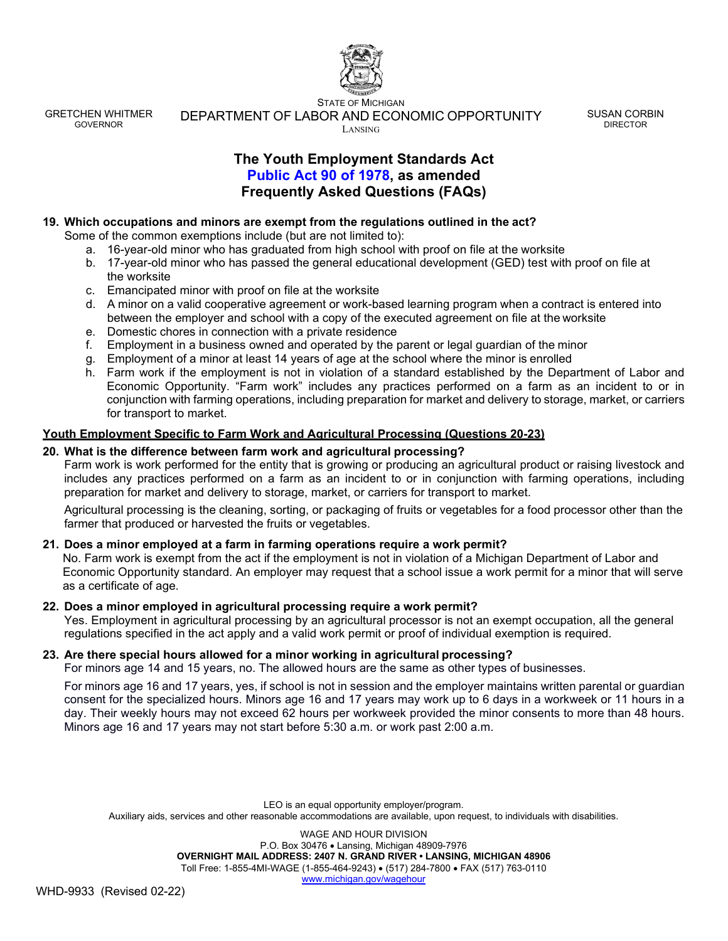

STATE OF MICHIGAN DEPARTMENT OF LABOR AND ECONOMIC OPPORTUNITY LANSING

SUSAN CORBIN DIRECTOR

# **The Youth Employment Standards Act Public Act 90 of 1978, as amended Frequently Asked Questions (FAQs)**

## **19. Which occupations and minors are exempt from the regulations outlined in the act?**

Some of the common exemptions include (but are not limited to):

- a. 16-year-old minor who has graduated from high school with proof on file at the worksite
- b. 17-year-old minor who has passed the general educational development (GED) test with proof on file at the worksite
- c. Emancipated minor with proof on file at the worksite
- d. A minor on a valid cooperative agreement or work-based learning program when a contract is entered into between the employer and school with a copy of the executed agreement on file at the worksite
- e. Domestic chores in connection with a private residence
- f. Employment in a business owned and operated by the parent or legal guardian of the minor
- g. Employment of a minor at least 14 years of age at the school where the minor is enrolled
- h. Farm work if the employment is not in violation of a standard established by the Department of Labor and Economic Opportunity. "Farm work" includes any practices performed on a farm as an incident to or in conjunction with farming operations, including preparation for market and delivery to storage, market, or carriers for transport to market.

## **Youth Employment Specific to Farm Work and Agricultural Processing (Questions 20-23)**

### **20. What is the difference between farm work and agricultural processing?**

Farm work is work performed for the entity that is growing or producing an agricultural product or raising livestock and includes any practices performed on a farm as an incident to or in conjunction with farming operations, including preparation for market and delivery to storage, market, or carriers for transport to market.

Agricultural processing is the cleaning, sorting, or packaging of fruits or vegetables for a food processor other than the farmer that produced or harvested the fruits or vegetables.

## **21. Does a minor employed at a farm in farming operations require a work permit?**

No. Farm work is exempt from the act if the employment is not in violation of a Michigan Department of Labor and Economic Opportunity standard. An employer may request that a school issue a work permit for a minor that will serve as a certificate of age.

#### **22. Does a minor employed in agricultural processing require a work permit?**

Yes. Employment in agricultural processing by an agricultural processor is not an exempt occupation, all the general regulations specified in the act apply and a valid work permit or proof of individual exemption is required.

## **23. Are there special hours allowed for a minor working in agricultural processing?**

For minors age 14 and 15 years, no. The allowed hours are the same as other types of businesses.

For minors age 16 and 17 years, yes, if school is not in session and the employer maintains written parental or guardian consent for the specialized hours. Minors age 16 and 17 years may work up to 6 days in a workweek or 11 hours in a day. Their weekly hours may not exceed 62 hours per workweek provided the minor consents to more than 48 hours. Minors age 16 and 17 years may not start before 5:30 a.m. or work past 2:00 a.m.

LEO is an equal opportunity employer/program. Auxiliary aids, services and other reasonable accommodations are available, upon request, to individuals with disabilities.